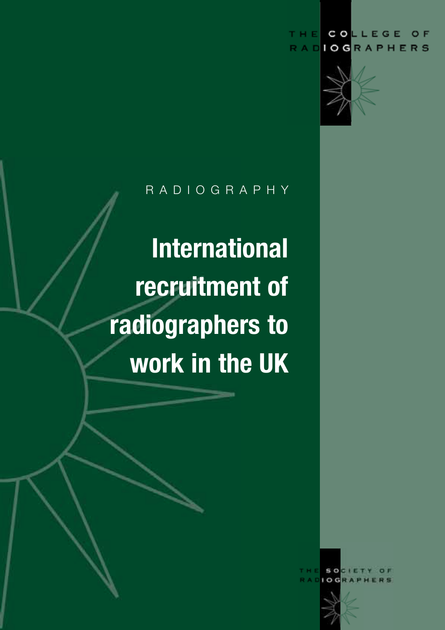## THE COLLEGE O F **RADIOGRAPHERS**



# RADIOGRAPHY

**International recruitment of radiographers to work in the UK**

 $5<sub>o</sub>$ 

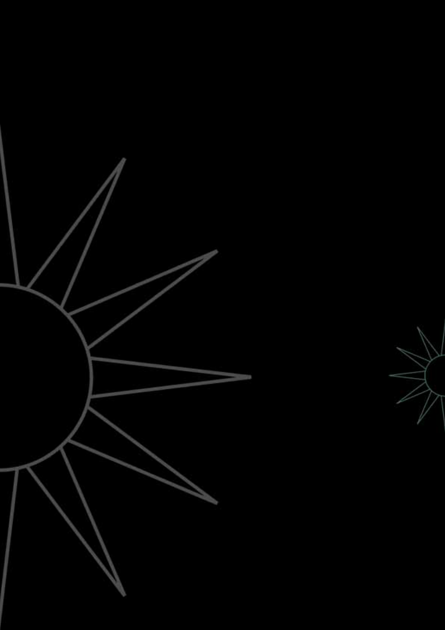

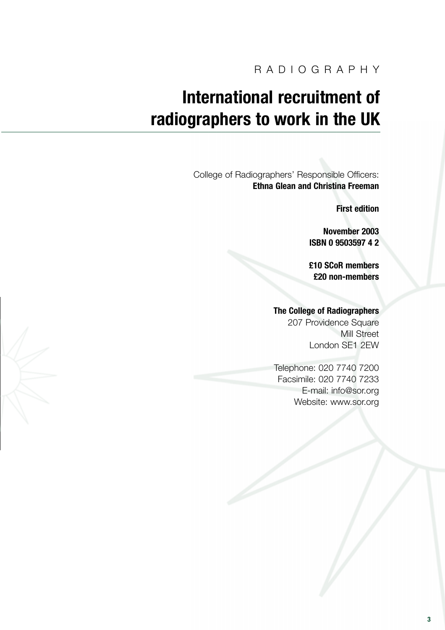# RADIOGRAPHY

# **International recruitment of radiographers to work in the UK**

College of Radiographers' Responsible Officers: **Ethna Glean and Christina Freeman**

**First edition**

**November 2003 ISBN 0 9503597 4 2**

**£10 SCoR members £20 non-members**

# **The College of Radiographers**

207 Providence Square **Mill Street** London SE1 2EW

Telephone: 020 7740 7200 Facsimile: 020 7740 7233 E-mail: info@sor.org Website: www.sor.org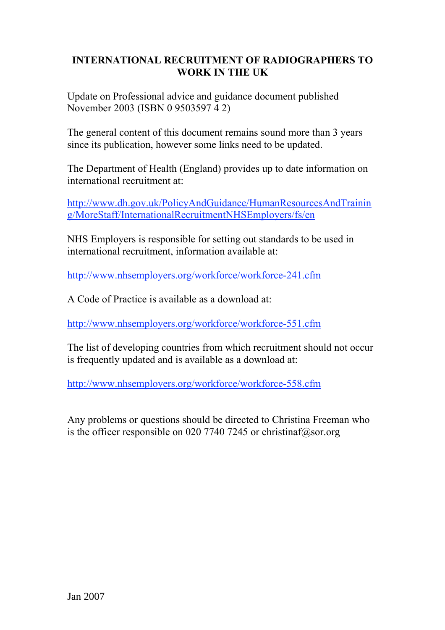# **INTERNATIONAL RECRUITMENT OF RADIOGRAPHERS TO WORK IN THE UK**

Update on Professional advice and guidance document published November 2003 (ISBN 0 9503597 4 2)

The general content of this document remains sound more than 3 years since its publication, however some links need to be updated.

The Department of Health (England) provides up to date information on international recruitment at:

[http://www.dh.gov.uk/PolicyAndGuidance/HumanResourcesAndTrainin](http://www.dh.gov.uk/PolicyAndGuidance/HumanResourcesAndTraining/MoreStaff/InternationalRecruitmentNHSEmployers/fs/en) g/MoreStaff/InternationalRecruitmentNHSEmployers/fs/en

NHS Employers is responsible for setting out standards to be used in international recruitment, information available at:

<http://www.nhsemployers.org/workforce/workforce-241.cfm>

A Code of Practice is available as a download at:

<http://www.nhsemployers.org/workforce/workforce-551.cfm>

The list of developing countries from which recruitment should not occur is frequently updated and is available as a download at:

<http://www.nhsemployers.org/workforce/workforce-558.cfm>

Any problems or questions should be directed to Christina Freeman who is the officer responsible on 020 7740 7245 or christinaf@sor.org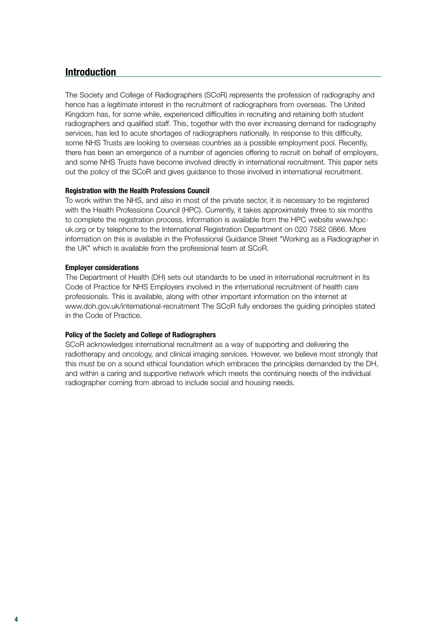# **Introduction**

The Society and College of Radiographers (SCoR) represents the profession of radiography and hence has a legitimate interest in the recruitment of radiographers from overseas. The United Kingdom has, for some while, experienced difficulties in recruiting and retaining both student radiographers and qualified staff. This, together with the ever increasing demand for radiography services, has led to acute shortages of radiographers nationally. In response to this difficulty, some NHS Trusts are looking to overseas countries as a possible employment pool. Recently, there has been an emergence of a number of agencies offering to recruit on behalf of employers, and some NHS Trusts have become involved directly in international recruitment. This paper sets out the policy of the SCoR and gives guidance to those involved in international recruitment.

### **Registration with the Health Professions Council**

To work within the NHS, and also in most of the private sector, it is necessary to be registered with the Health Professions Council (HPC). Currently, it takes approximately three to six months to complete the registration process. Information is available from the HPC website www.hpcuk.org or by telephone to the International Registration Department on 020 7582 0866. More information on this is available in the Professional Guidance Sheet "Working as a Radiographer in the UK" which is available from the professional team at SCoR.

### **Employer considerations**

The Department of Health (DH) sets out standards to be used in international recruitment in its Code of Practice for NHS Employers involved in the international recruitment of health care professionals. This is available, along with other important information on the internet at www.doh.gov.uk/international-recruitment The SCoR fully endorses the guiding principles stated in the Code of Practice.

## **Policy of the Society and College of Radiographers**

SCoR acknowledges international recruitment as a way of supporting and delivering the radiotherapy and oncology, and clinical imaging services. However, we believe most strongly that this must be on a sound ethical foundation which embraces the principles demanded by the DH, and within a caring and supportive network which meets the continuing needs of the individual radiographer coming from abroad to include social and housing needs.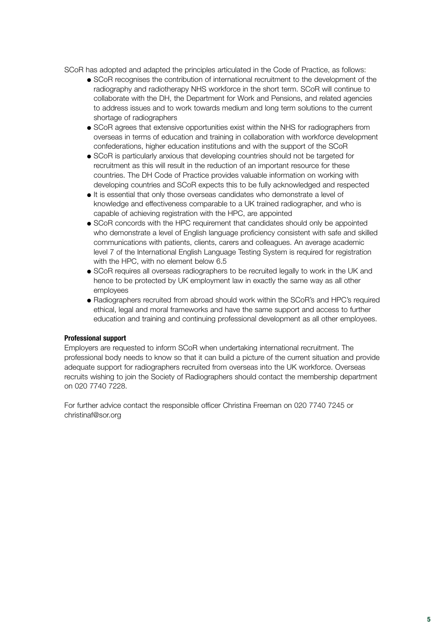## SCoR has adopted and adapted the principles articulated in the Code of Practice, as follows:

- SCoR recognises the contribution of international recruitment to the development of the radiography and radiotherapy NHS workforce in the short term. SCoR will continue to collaborate with the DH, the Department for Work and Pensions, and related agencies to address issues and to work towards medium and long term solutions to the current shortage of radiographers
- SCoR agrees that extensive opportunities exist within the NHS for radiographers from overseas in terms of education and training in collaboration with workforce development confederations, higher education institutions and with the support of the SCoR
- SCoR is particularly anxious that developing countries should not be targeted for recruitment as this will result in the reduction of an important resource for these countries. The DH Code of Practice provides valuable information on working with developing countries and SCoR expects this to be fully acknowledged and respected
- It is essential that only those overseas candidates who demonstrate a level of knowledge and effectiveness comparable to a UK trained radiographer, and who is capable of achieving registration with the HPC, are appointed
- SCoR concords with the HPC requirement that candidates should only be appointed who demonstrate a level of English language proficiency consistent with safe and skilled communications with patients, clients, carers and colleagues. An average academic level 7 of the International English Language Testing System is required for registration with the HPC, with no element below 6.5
- SCoR requires all overseas radiographers to be recruited legally to work in the UK and hence to be protected by UK employment law in exactly the same way as all other employees
- Radiographers recruited from abroad should work within the SCoR's and HPC's required ethical, legal and moral frameworks and have the same support and access to further education and training and continuing professional development as all other employees.

## **Professional support**

Employers are requested to inform SCoR when undertaking international recruitment. The professional body needs to know so that it can build a picture of the current situation and provide adequate support for radiographers recruited from overseas into the UK workforce. Overseas recruits wishing to join the Society of Radiographers should contact the membership department on 020 7740 7228.

For further advice contact the responsible officer Christina Freeman on 020 7740 7245 or christinaf@sor.org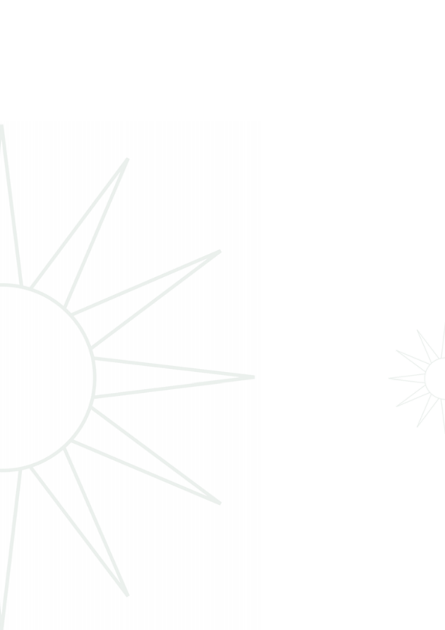

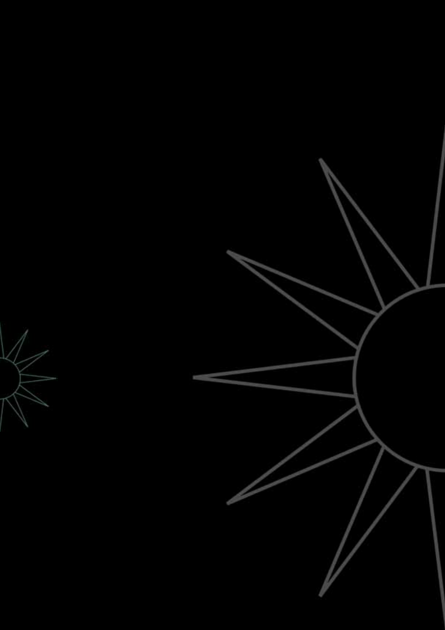